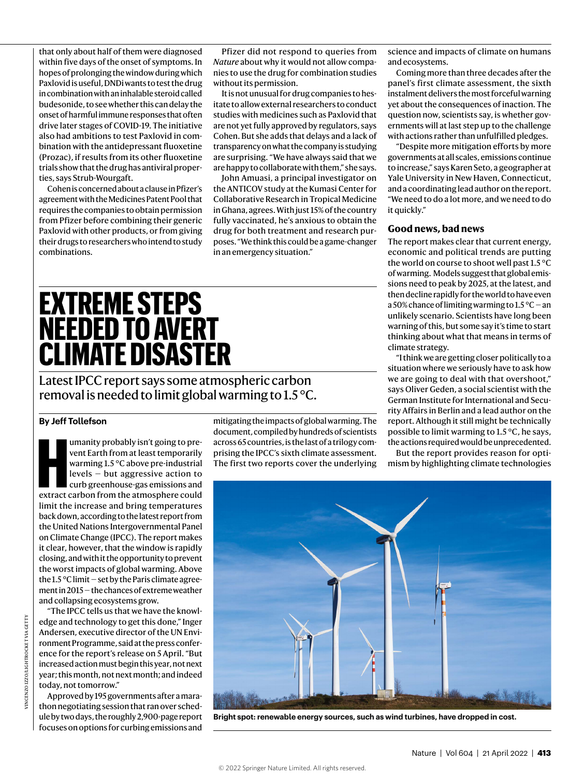that only about half of them were diagnosed within five days of the onset of symptoms. In hopes of prolonging the window during which Paxlovid is useful, DNDi wants to test the drug in combination with an inhalable steroid called budesonide, to see whether this can delay the onset of harmful immune responses that often drive later stages of COVID-19. The initiative also had ambitions to test Paxlovid in combination with the antidepressant fluoxetine (Prozac), if results from its other fluoxetine trials show that the drug has antiviral properties, says Strub-Wourgaft.

Cohen is concerned about a clause in Pfizer's agreement with the Medicines Patent Pool that requires the companies to obtain permission from Pfizer before combining their generic Paxlovid with other products, or from giving their drugs to researchers who intend to study combinations.

Pfizer did not respond to queries from *Nature* about why it would not allow companies to use the drug for combination studies without its permission.

It is not unusual for drug companies to hesitate to allow external researchers to conduct studies with medicines such as Paxlovid that are not yet fully approved by regulators, says Cohen. But she adds that delays and a lack of transparency on what the company is studying are surprising. "We have always said that we are happy to collaborate with them," she says.

John Amuasi, a principal investigator on the ANTICOV study at the Kumasi Center for Collaborative Research in Tropical Medicine in Ghana, agrees. With just 15% of the country fully vaccinated, he's anxious to obtain the drug for both treatment and research purposes. "We think this could be a game-changer in an emergency situation."

# **EXTREME STEPS NEEDED TO AVERT CLIMATE DISASTER**

Latest IPCC report says some atmospheric carbon removal is needed to limit global warming to 1.5 °C.

### **By Jeff Tollefson**

umanity probably isn't going to prevent Earth from at least temporarily<br>warming 1.5 °C above pre-industrial<br>levels – but aggressive action to<br>curb greenhouse-gas emissions and<br>extract carbon from the atmosphere could umanity probably isn't going to prevent Earth from at least temporarily warming 1.5 °C above pre-industrial levels — but aggressive action to curb greenhouse-gas emissions and limit the increase and bring temperatures back down, according to the latest report from the United Nations Intergovernmental Panel on Climate Change (IPCC). The report makes it clear, however, that the window is rapidly closing, and with it the opportunity to prevent the worst impacts of global warming. Above the 1.5 °C limit — set by the Paris climate agreement in 2015 — the chances of extreme weather and collapsing ecosystems grow.

"The IPCC tells us that we have the knowledge and technology to get this done," Inger Andersen, executive director of the UN Environment Programme, said at the press conference for the report's release on 5 April. "But increased action must begin this year, not next year; this month, not next month; and indeed today, not tomorrow."

Approved by 195 governments after a marathon negotiating session that ran over schedule by two days, the roughly 2,900-page report focuses on options for curbing emissions and

mitigating the impacts of global warming. The document, compiled by hundreds of scientists across 65 countries, is the last of a trilogy comprising the IPCC's sixth climate assessment. The first two reports cover the underlying science and impacts of climate on humans and ecosystems.

Coming more than three decades after the panel's first climate assessment, the sixth instalment delivers the most forceful warning yet about the consequences of inaction. The question now, scientists say, is whether governments will at last step up to the challenge with actions rather than unfulfilled pledges.

"Despite more mitigation efforts by more governments at all scales, emissions continue to increase," says Karen Seto, a geographer at Yale University in New Haven, Connecticut, and a coordinating lead author on the report. "We need to do a lot more, and we need to do it quickly."

#### **Good news, bad news**

The report makes clear that current energy, economic and political trends are putting the world on course to shoot well past 1.5 °C of warming. Models suggest that global emissions need to peak by 2025, at the latest, and then decline rapidly for the world to have even a 50% chance of limiting warming to 1.5 °C — an unlikely scenario. Scientists have long been warning of this, but some say it's time to start thinking about what that means in terms of climate strategy.

"I think we are getting closer politically to a situation where we seriously have to ask how we are going to deal with that overshoot," says Oliver Geden, a social scientist with the German Institute for International and Security Affairs in Berlin and a lead author on the report. Although it still might be technically possible to limit warming to 1.5 °C, he says, the actions required would be unprecedented.

But the report provides reason for optimism by highlighting climate technologies



**Bright spot: renewable energy sources, such as wind turbines, have dropped in cost.**